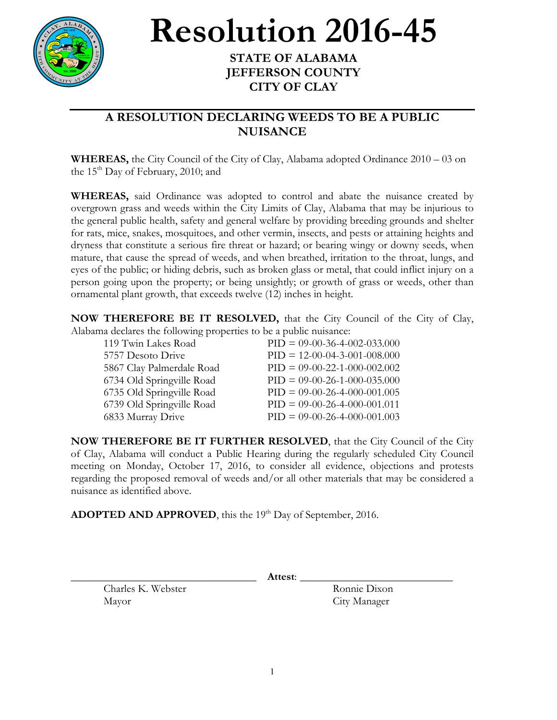

## **Resolution** 2016-45

## **JEFFERSON COUNTY CITY OF CLAY**

## **A RESOLUTION DECLARING WEEDS TO BE A PUBLIC NUISANCE**

**WHEREAS,** the City Council of the City of Clay, Alabama adopted Ordinance 2010 – 03 on the  $15<sup>th</sup>$  Day of February, 2010; and

**WHEREAS,** said Ordinance was adopted to control and abate the nuisance created by overgrown grass and weeds within the City Limits of Clay, Alabama that may be injurious to the general public health, safety and general welfare by providing breeding grounds and shelter for rats, mice, snakes, mosquitoes, and other vermin, insects, and pests or attaining heights and dryness that constitute a serious fire threat or hazard; or bearing wingy or downy seeds, when mature, that cause the spread of weeds, and when breathed, irritation to the throat, lungs, and eyes of the public; or hiding debris, such as broken glass or metal, that could inflict injury on a person going upon the property; or being unsightly; or growth of grass or weeds, other than ornamental plant growth, that exceeds twelve (12) inches in height.

**NOW THEREFORE BE IT RESOLVED,** that the City Council of the City of Clay, Alabama declares the following properties to be a public nuisance:

| 119 Twin Lakes Road       | $PID = 09-00-36-4-002-033.000$ |
|---------------------------|--------------------------------|
| 5757 Desoto Drive         | $PID = 12-00-04-3-001-008.000$ |
| 5867 Clay Palmerdale Road | $PID = 09-00-22-1-000-002.002$ |
| 6734 Old Springville Road | $PID = 09-00-26-1-000-035.000$ |
| 6735 Old Springville Road | $PID = 09-00-26-4-000-001.005$ |
| 6739 Old Springville Road | $PID = 09-00-26-4-000-001.011$ |
| 6833 Murray Drive         | $PID = 09-00-26-4-000-001.003$ |

**NOW THEREFORE BE IT FURTHER RESOLVED**, that the City Council of the City of Clay, Alabama will conduct a Public Hearing during the regularly scheduled City Council meeting on Monday, October 17, 2016, to consider all evidence, objections and protests regarding the proposed removal of weeds and/or all other materials that may be considered a nuisance as identified above.

**ADOPTED AND APPROVED**, this the 19<sup>th</sup> Day of September, 2016.

Charles K. Webster Ronnie Dixon Mayor City Manager

\_\_\_\_\_\_\_\_\_\_\_\_\_\_\_\_\_\_\_\_\_\_\_\_\_\_\_\_\_\_\_\_\_\_ **Attest**: \_\_\_\_\_\_\_\_\_\_\_\_\_\_\_\_\_\_\_\_\_\_\_\_\_\_\_\_